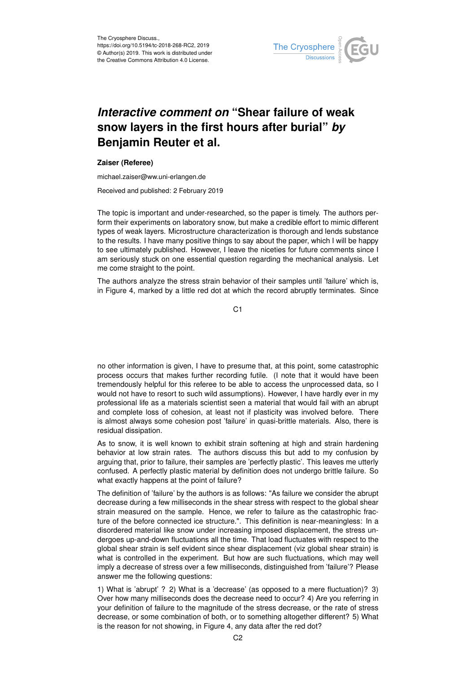

## *Interactive comment on* **"Shear failure of weak snow layers in the first hours after burial"** *by* **Benjamin Reuter et al.**

## **Zaiser (Referee)**

michael.zaiser@ww.uni-erlangen.de

Received and published: 2 February 2019

The topic is important and under-researched, so the paper is timely. The authors perform their experiments on laboratory snow, but make a credible effort to mimic different types of weak layers. Microstructure characterization is thorough and lends substance to the results. I have many positive things to say about the paper, which I will be happy to see ultimately published. However, I leave the niceties for future comments since I am seriously stuck on one essential question regarding the mechanical analysis. Let me come straight to the point.

The authors analyze the stress strain behavior of their samples until 'failure' which is, in Figure 4, marked by a little red dot at which the record abruptly terminates. Since

C1

no other information is given, I have to presume that, at this point, some catastrophic process occurs that makes further recording futile. (I note that it would have been tremendously helpful for this referee to be able to access the unprocessed data, so I would not have to resort to such wild assumptions). However, I have hardly ever in my professional life as a materials scientist seen a material that would fail with an abrupt and complete loss of cohesion, at least not if plasticity was involved before. There is almost always some cohesion post 'failure' in quasi-brittle materials. Also, there is residual dissipation.

As to snow, it is well known to exhibit strain softening at high and strain hardening behavior at low strain rates. The authors discuss this but add to my confusion by arguing that, prior to failure, their samples are 'perfectly plastic'. This leaves me utterly confused. A perfectly plastic material by definition does not undergo brittle failure. So what exactly happens at the point of failure?

The definition of 'failure' by the authors is as follows: "As failure we consider the abrupt decrease during a few milliseconds in the shear stress with respect to the global shear strain measured on the sample. Hence, we refer to failure as the catastrophic fracture of the before connected ice structure.". This definition is near-meaningless: In a disordered material like snow under increasing imposed displacement, the stress undergoes up-and-down fluctuations all the time. That load fluctuates with respect to the global shear strain is self evident since shear displacement (viz global shear strain) is what is controlled in the experiment. But how are such fluctuations, which may well imply a decrease of stress over a few milliseconds, distinguished from 'failure'? Please answer me the following questions:

1) What is 'abrupt' ? 2) What is a 'decrease' (as opposed to a mere fluctuation)? 3) Over how many milliseconds does the decrease need to occur? 4) Are you referring in your definition of failure to the magnitude of the stress decrease, or the rate of stress decrease, or some combination of both, or to something altogether different? 5) What is the reason for not showing, in Figure 4, any data after the red dot?